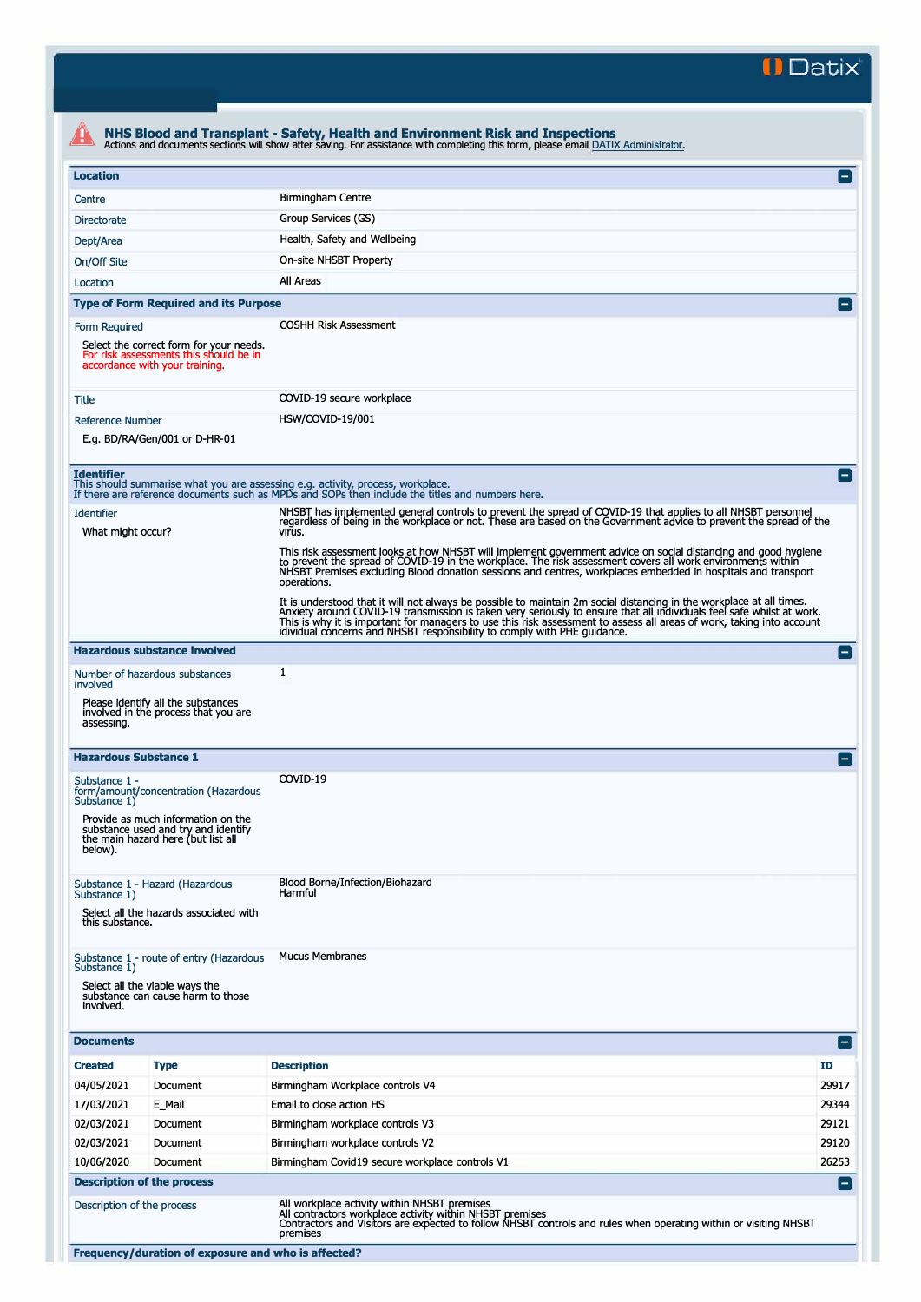**II Datix'** 

| <b>Location</b><br>Centre<br><b>Directorate</b><br>Dept/Area<br>On/Off Site<br>Location<br><b>Type of Form Required and its Purpose</b><br>Form Required<br>Select the correct form for your needs.<br>For risk assessments this should be in<br>accordance with your training.<br>Title<br><b>Reference Number</b><br>E.g. BD/RA/Gen/001 or D-HR-01 | Birmingham Centre<br>Group Services (GS)<br>Health, Safety and Wellbeing<br>On-site NHSBT Property<br>All Areas<br><b>COSHH Risk Assessment</b><br>COVID-19 secure workplace<br>HSW/COVID-19/001                                                                                                                                                                                                                                                   | $\blacksquare$<br>Е |  |  |  |
|------------------------------------------------------------------------------------------------------------------------------------------------------------------------------------------------------------------------------------------------------------------------------------------------------------------------------------------------------|----------------------------------------------------------------------------------------------------------------------------------------------------------------------------------------------------------------------------------------------------------------------------------------------------------------------------------------------------------------------------------------------------------------------------------------------------|---------------------|--|--|--|
|                                                                                                                                                                                                                                                                                                                                                      |                                                                                                                                                                                                                                                                                                                                                                                                                                                    |                     |  |  |  |
|                                                                                                                                                                                                                                                                                                                                                      |                                                                                                                                                                                                                                                                                                                                                                                                                                                    |                     |  |  |  |
|                                                                                                                                                                                                                                                                                                                                                      |                                                                                                                                                                                                                                                                                                                                                                                                                                                    |                     |  |  |  |
|                                                                                                                                                                                                                                                                                                                                                      |                                                                                                                                                                                                                                                                                                                                                                                                                                                    |                     |  |  |  |
|                                                                                                                                                                                                                                                                                                                                                      |                                                                                                                                                                                                                                                                                                                                                                                                                                                    |                     |  |  |  |
|                                                                                                                                                                                                                                                                                                                                                      |                                                                                                                                                                                                                                                                                                                                                                                                                                                    |                     |  |  |  |
|                                                                                                                                                                                                                                                                                                                                                      |                                                                                                                                                                                                                                                                                                                                                                                                                                                    |                     |  |  |  |
|                                                                                                                                                                                                                                                                                                                                                      |                                                                                                                                                                                                                                                                                                                                                                                                                                                    |                     |  |  |  |
|                                                                                                                                                                                                                                                                                                                                                      |                                                                                                                                                                                                                                                                                                                                                                                                                                                    |                     |  |  |  |
|                                                                                                                                                                                                                                                                                                                                                      |                                                                                                                                                                                                                                                                                                                                                                                                                                                    |                     |  |  |  |
|                                                                                                                                                                                                                                                                                                                                                      |                                                                                                                                                                                                                                                                                                                                                                                                                                                    |                     |  |  |  |
|                                                                                                                                                                                                                                                                                                                                                      |                                                                                                                                                                                                                                                                                                                                                                                                                                                    |                     |  |  |  |
| <b>Identifier</b><br>This should summarise what you are assessing e.g. activity, process, workplace.                                                                                                                                                                                                                                                 | If there are reference documents such as MPDs and SOPs then include the titles and numbers here.                                                                                                                                                                                                                                                                                                                                                   | $\vert - \vert$     |  |  |  |
| <b>Identifier</b><br>What might occur?                                                                                                                                                                                                                                                                                                               | NHSBT has implemented general controls to prevent the spread of COVID-19 that applies to all NHSBT personnel<br>regardless of being in the workplace or not. These are based on the Government advice to prevent the spread of the<br>virus.                                                                                                                                                                                                       |                     |  |  |  |
|                                                                                                                                                                                                                                                                                                                                                      | This risk assessment looks at how NHSBT will implement government advice on social distancing and good hygiene<br>to prevent the spread of COVID-19 in the workplace. The risk assessment covers all work environments within<br>NHSBT Premises excluding Blood donation sessions and centres, workplaces embedded in hospitals and transport<br>operations.                                                                                       |                     |  |  |  |
|                                                                                                                                                                                                                                                                                                                                                      | It is understood that it will not always be possible to maintain 2m social distancing in the workplace at all times.<br>Anxiety around COVID-19 transmission is taken very seriously to ensure that all individuals feel safe whilst at work.<br>This is why it is important for managers to use this risk assessment to assess all areas of work, taking into account<br>idividual concerns and NHSBT responsibility to comply with PHE guidance. |                     |  |  |  |
| <b>Hazardous substance involved</b>                                                                                                                                                                                                                                                                                                                  |                                                                                                                                                                                                                                                                                                                                                                                                                                                    | i — i               |  |  |  |
| Number of hazardous substances                                                                                                                                                                                                                                                                                                                       | 1                                                                                                                                                                                                                                                                                                                                                                                                                                                  |                     |  |  |  |
| involved<br>Please identify all the substances<br>involved in the process that you are<br>assessing.                                                                                                                                                                                                                                                 |                                                                                                                                                                                                                                                                                                                                                                                                                                                    |                     |  |  |  |
| <b>Hazardous Substance 1</b>                                                                                                                                                                                                                                                                                                                         |                                                                                                                                                                                                                                                                                                                                                                                                                                                    | н.                  |  |  |  |
| Substance 1 -<br>form/amount/concentration (Hazardous<br>Substance 1)                                                                                                                                                                                                                                                                                | COVID-19                                                                                                                                                                                                                                                                                                                                                                                                                                           |                     |  |  |  |
| Provide as much information on the<br>substance used and try and identify<br>the main hazard here (but list all<br>below).                                                                                                                                                                                                                           |                                                                                                                                                                                                                                                                                                                                                                                                                                                    |                     |  |  |  |
| Substance 1 - Hazard (Hazardous<br>Substance 1)<br>Select all the hazards associated with<br>this substance.                                                                                                                                                                                                                                         | Blood Borne/Infection/Biohazard<br>Harmful                                                                                                                                                                                                                                                                                                                                                                                                         |                     |  |  |  |
| Substance 1 - route of entry (Hazardous<br>Substance 1)<br>Select all the viable ways the<br>substance can cause harm to those<br>involved.                                                                                                                                                                                                          | <b>Mucus Membranes</b>                                                                                                                                                                                                                                                                                                                                                                                                                             |                     |  |  |  |
| <b>Documents</b>                                                                                                                                                                                                                                                                                                                                     |                                                                                                                                                                                                                                                                                                                                                                                                                                                    | [=]                 |  |  |  |
| <b>Created</b><br><b>Type</b>                                                                                                                                                                                                                                                                                                                        | <b>Description</b>                                                                                                                                                                                                                                                                                                                                                                                                                                 | <b>ID</b>           |  |  |  |
| 04/05/2021<br>Document                                                                                                                                                                                                                                                                                                                               | Birmingham Workplace controls V4                                                                                                                                                                                                                                                                                                                                                                                                                   | 29917               |  |  |  |
| 17/03/2021<br>E_Mail                                                                                                                                                                                                                                                                                                                                 | Email to close action HS                                                                                                                                                                                                                                                                                                                                                                                                                           | 29344               |  |  |  |
| 02/03/2021<br>Document                                                                                                                                                                                                                                                                                                                               | Birmingham workplace controls V3                                                                                                                                                                                                                                                                                                                                                                                                                   | 29121               |  |  |  |
| 02/03/2021<br>Document                                                                                                                                                                                                                                                                                                                               | Birmingham workplace controls V2                                                                                                                                                                                                                                                                                                                                                                                                                   | 29120               |  |  |  |
| 10/06/2020<br>Document                                                                                                                                                                                                                                                                                                                               | Birmingham Covid19 secure workplace controls V1                                                                                                                                                                                                                                                                                                                                                                                                    | 26253               |  |  |  |
| <b>Description of the process</b>                                                                                                                                                                                                                                                                                                                    |                                                                                                                                                                                                                                                                                                                                                                                                                                                    | $\vert - \vert$     |  |  |  |
| Description of the process                                                                                                                                                                                                                                                                                                                           | All workplace activity within NHSBT premises<br>All contractors workplace activity within NHSBT premises<br>Contractors and Visitors are expected to follow NHSBT controls and rules when operating within or visiting NHSBT<br>premises                                                                                                                                                                                                           |                     |  |  |  |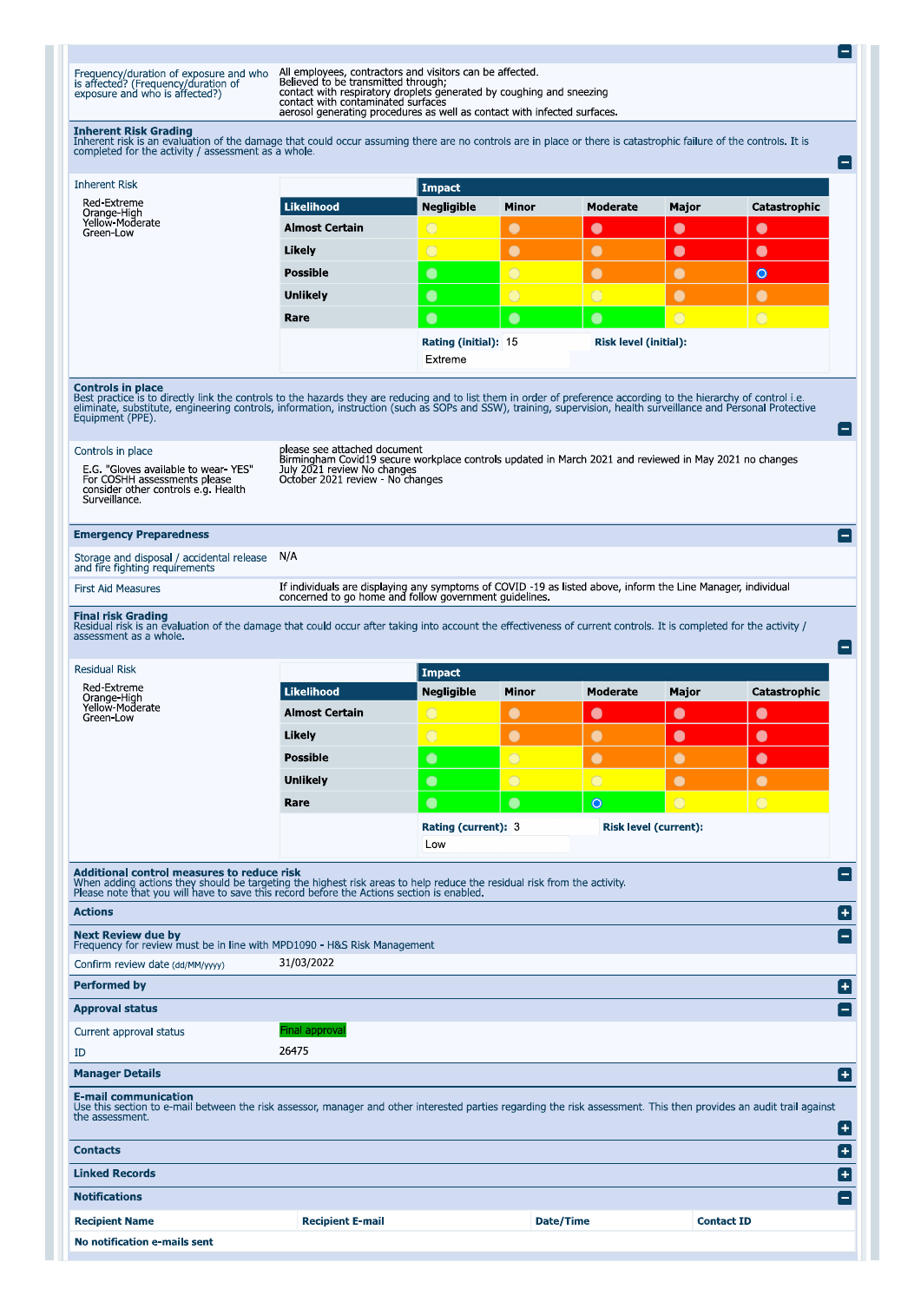Frequency/duration of exposure and who<br>is affected? (Frequency/duration of<br>exposure and who is affected?)

All employees, contractors and visitors can be affected.<br>Believed to be transmitted through;<br>contact with respiratory droplets generated by coughing and sneezing<br>contact with contaminated surfaces<br>aerosol generating proced

E

**Inherent Risk Grading**<br>Inherent risk is an evaluation of the damage that could occur assuming there are no controls are in place or there is catastrophic failure of the controls. It is completed for the activity / assessm

| completed for the activity / assessment as a whole.                                                                                                                                                                                                                                                                                                                                    |                                                                                                                                                                                                           |                                                          |                              |                 |                   |                       | $\blacksquare$                                           |
|----------------------------------------------------------------------------------------------------------------------------------------------------------------------------------------------------------------------------------------------------------------------------------------------------------------------------------------------------------------------------------------|-----------------------------------------------------------------------------------------------------------------------------------------------------------------------------------------------------------|----------------------------------------------------------|------------------------------|-----------------|-------------------|-----------------------|----------------------------------------------------------|
| <b>Inherent Risk</b>                                                                                                                                                                                                                                                                                                                                                                   | <b>Impact</b>                                                                                                                                                                                             |                                                          |                              |                 |                   |                       |                                                          |
| Red-Extreme<br>Orange-High<br>Yellow-Moderate<br>Green-Low                                                                                                                                                                                                                                                                                                                             | <b>Likelihood</b>                                                                                                                                                                                         | <b>Negligible</b>                                        | Minor                        | Moderate        | Major             | Catastrophic          |                                                          |
|                                                                                                                                                                                                                                                                                                                                                                                        | <b>Almost Certain</b>                                                                                                                                                                                     | $\bigcirc$                                               | $\bullet$                    | $\bullet$       | $\bullet$         | $\bullet$             |                                                          |
|                                                                                                                                                                                                                                                                                                                                                                                        | Likely                                                                                                                                                                                                    | $\bigcirc$                                               | $\bullet$                    | $\bullet$       | $\bullet$         | $\bullet$             |                                                          |
|                                                                                                                                                                                                                                                                                                                                                                                        | <b>Possible</b>                                                                                                                                                                                           | $\bullet$                                                | $\overline{\bigcirc}$        | $\bullet$       | $\bullet$         | $\bullet$             |                                                          |
|                                                                                                                                                                                                                                                                                                                                                                                        | <b>Unlikely</b>                                                                                                                                                                                           | $\bullet$                                                | $\circ$                      | $\overline{O}$  | $\bullet$         | $\bullet$             |                                                          |
|                                                                                                                                                                                                                                                                                                                                                                                        | Rare                                                                                                                                                                                                      | $\bullet$                                                | $\bullet$                    | $\bullet$       | $\circ$           | $\overline{\bigcirc}$ |                                                          |
|                                                                                                                                                                                                                                                                                                                                                                                        |                                                                                                                                                                                                           | Risk level (initial):<br>Rating (initial): 15<br>Extreme |                              |                 |                   |                       |                                                          |
| <b>Controls in place</b><br>Best practice is to directly link the controls to the hazards they are reducing and to list them in order of preference according to the hierarchy of control i.e.<br>eliminate, substitute, engineering controls, information, instruction (such as SOPs and SSW), training, supervision, health surveillance and Personal Protective<br>Equipment (PPE). |                                                                                                                                                                                                           |                                                          |                              |                 |                   |                       | F                                                        |
| Controls in place<br>E.G. "Gloves available to wear YES"<br>For COSHH assessments please<br>consider other controls e.g. Health<br>Surveillance.                                                                                                                                                                                                                                       | please see attached document<br>Birmingham Covid19 secure workplace controls updated in March 2021 and reviewed in May 2021 no changes<br>July 2021 review No changes<br>October 2021 review - No changes |                                                          |                              |                 |                   |                       |                                                          |
| <b>Emergency Preparedness</b>                                                                                                                                                                                                                                                                                                                                                          |                                                                                                                                                                                                           |                                                          |                              |                 |                   |                       | $\vert - \vert$                                          |
| Storage and disposal / accidental release<br>and fire fighting requirements                                                                                                                                                                                                                                                                                                            | N/A                                                                                                                                                                                                       |                                                          |                              |                 |                   |                       |                                                          |
| <b>First Aid Measures</b>                                                                                                                                                                                                                                                                                                                                                              | If individuals are displaying any symptoms of COVID -19 as listed above, inform the Line Manager, individual<br>concerned to go home and follow government guidelines.                                    |                                                          |                              |                 |                   |                       |                                                          |
| Final risk Grading<br>Residual risk is an evaluation of the damage that could occur after taking into account the effectiveness of current controls. It is completed for the activity /<br>assessment as a whole.                                                                                                                                                                      |                                                                                                                                                                                                           |                                                          |                              |                 |                   |                       | E                                                        |
| <b>Residual Risk</b>                                                                                                                                                                                                                                                                                                                                                                   |                                                                                                                                                                                                           | <b>Impact</b>                                            |                              |                 |                   |                       |                                                          |
| <b>Red-Extreme</b><br>Orange-High                                                                                                                                                                                                                                                                                                                                                      | <b>Likelihood</b>                                                                                                                                                                                         | <b>Negligible</b>                                        | Minor                        | <b>Moderate</b> | Major             | Catastrophic          |                                                          |
| Yellow-Moderate<br>Green-Low                                                                                                                                                                                                                                                                                                                                                           | <b>Almost Certain</b>                                                                                                                                                                                     | $\rm C$                                                  | $\bullet$                    | $\bullet$       | $\bullet$         | $\bullet$             |                                                          |
|                                                                                                                                                                                                                                                                                                                                                                                        | Likely                                                                                                                                                                                                    | $\bigcirc$                                               | $\bullet$                    | $\bullet$       | $\bullet$         | $\bullet$             |                                                          |
|                                                                                                                                                                                                                                                                                                                                                                                        | <b>Possible</b>                                                                                                                                                                                           | $\bullet$                                                | $\overline{\bigcirc}$        | $\bullet$       | $\bullet$         | $\bullet$             |                                                          |
|                                                                                                                                                                                                                                                                                                                                                                                        | <b>Unlikely</b>                                                                                                                                                                                           | $\bullet$                                                | $\circ$                      | $\circ$         | $\bullet$         | $\bullet$             |                                                          |
|                                                                                                                                                                                                                                                                                                                                                                                        | Rare                                                                                                                                                                                                      | $\bullet$                                                | $\bullet$                    | $\circ$         | $\bigcirc$        | $\overline{O}$        |                                                          |
|                                                                                                                                                                                                                                                                                                                                                                                        |                                                                                                                                                                                                           | Rating (current): 3<br>Low                               | <b>Risk level (current):</b> |                 |                   |                       |                                                          |
| Additional control measures to reduce risk<br>When adding actions they should be targeting the highest risk areas to help reduce the residual risk from the activity.<br>Please note that you will have to save this record before the Actions section is enabled.                                                                                                                     |                                                                                                                                                                                                           |                                                          |                              |                 |                   |                       | $\qquad \qquad =$                                        |
| <b>Actions</b>                                                                                                                                                                                                                                                                                                                                                                         |                                                                                                                                                                                                           |                                                          |                              |                 |                   |                       | ٨                                                        |
| <b>Next Review due by</b><br>Frequency for review must be in line with MPD1090 - H&S Risk Management                                                                                                                                                                                                                                                                                   |                                                                                                                                                                                                           |                                                          |                              |                 |                   |                       | ۸                                                        |
| Confirm review date (dd/MM/yyyy)                                                                                                                                                                                                                                                                                                                                                       | 31/03/2022                                                                                                                                                                                                |                                                          |                              |                 |                   |                       |                                                          |
| <b>Performed by</b>                                                                                                                                                                                                                                                                                                                                                                    |                                                                                                                                                                                                           |                                                          |                              |                 |                   |                       | ۸                                                        |
| <b>Approval status</b>                                                                                                                                                                                                                                                                                                                                                                 |                                                                                                                                                                                                           |                                                          |                              |                 |                   |                       | $\left  - \right $                                       |
| Current approval status                                                                                                                                                                                                                                                                                                                                                                | inal approval <del>:</del>                                                                                                                                                                                |                                                          |                              |                 |                   |                       |                                                          |
| ID                                                                                                                                                                                                                                                                                                                                                                                     | 26475                                                                                                                                                                                                     |                                                          |                              |                 |                   |                       |                                                          |
| <b>Manager Details</b>                                                                                                                                                                                                                                                                                                                                                                 |                                                                                                                                                                                                           |                                                          |                              |                 |                   |                       | ٨                                                        |
| E-mail communication<br>Use this section to e-mail between the risk assessor, manager and other interested parties regarding the risk assessment. This then provides an audit trail against<br>the assessment.                                                                                                                                                                         |                                                                                                                                                                                                           |                                                          |                              |                 |                   |                       | Œ                                                        |
| Contacts                                                                                                                                                                                                                                                                                                                                                                               |                                                                                                                                                                                                           |                                                          |                              |                 |                   |                       | c                                                        |
| <b>Linked Records</b>                                                                                                                                                                                                                                                                                                                                                                  |                                                                                                                                                                                                           |                                                          |                              |                 |                   |                       | $\left[ \begin{smallmatrix} + \end{smallmatrix} \right]$ |
| <b>Notifications</b>                                                                                                                                                                                                                                                                                                                                                                   |                                                                                                                                                                                                           |                                                          |                              |                 |                   |                       | $\left[-\right]$                                         |
| <b>Recipient Name</b>                                                                                                                                                                                                                                                                                                                                                                  | <b>Recipient E-mail</b>                                                                                                                                                                                   |                                                          |                              | Date/Time       | <b>Contact ID</b> |                       |                                                          |
| No notification e-mails sent                                                                                                                                                                                                                                                                                                                                                           |                                                                                                                                                                                                           |                                                          |                              |                 |                   |                       |                                                          |